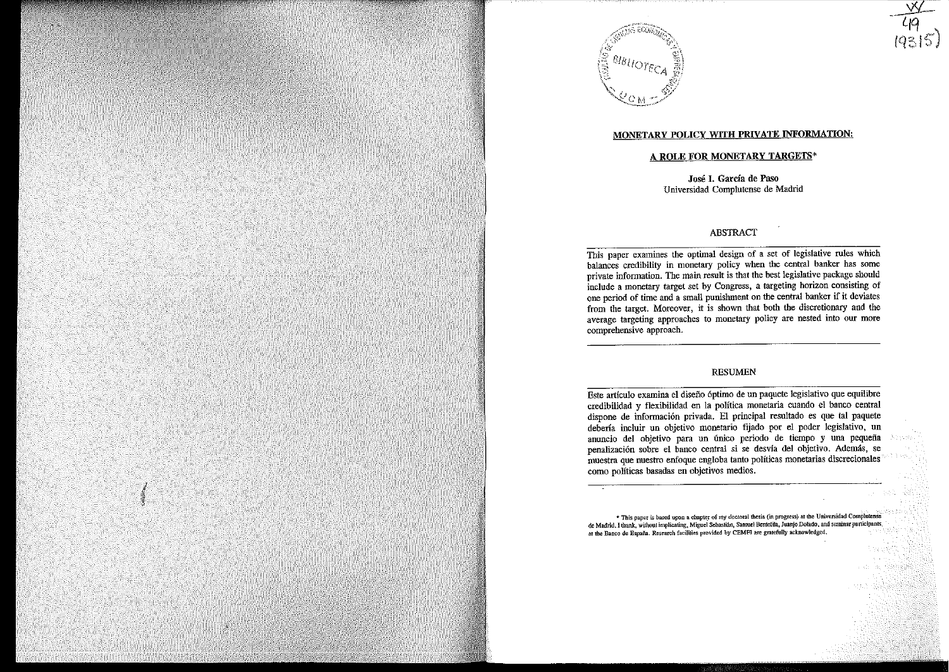

# MONETARY POLICY WITH PRIVATE INFORMATION:

 $\frac{49}{4315}$ 

# A ROLE FOR MONETARY TARGETS\*

José l. García de Paso Universidad Complutense de Madrid

## ABSTRACT

This paper examines the optimal design of a set of legislative rules which balances credibility in monetary policy when the central banker has some private information. The main result is that the best legislative package should include a monetary target set by Congress, a targeting horizon consisting of one period of time and a small punishment on the central banker if it deviates from the target. Moreover, it is shown that both the discretionary and the average targeting approaches to monetary policy are nested into our more comprehensive approach.

#### RESUMEN

Este artículo examina el diseño óptimo de un paquete legislativo que equilibre credibilidad y flexibilidad en la política monetaria cuando el banco central dispone de información privada. El principal resultado es que tal paquete debería incluir un objetivo monetario fijado por el poder legislativo, un anuncio del objetivo para un único periodo de tiempo y una pequeña penalización sobre el banco central si se desvía del objetivo. Además, se muestra que nuestro enfoque engloba tanto políticas monetarias discrecionales como políticas basadas en objetivos medios.

\* This paper is based upon a chapter of my doctoral thesis (in progress) at the Universidad Complutense de Madrid, I thank, without implicating, Miguel Sebastián, Samuel Bentolita, Juanjo Dolado, and seminar participants at the Banco de España. Research facilities provided by CEMFI are gratefully acknowledged.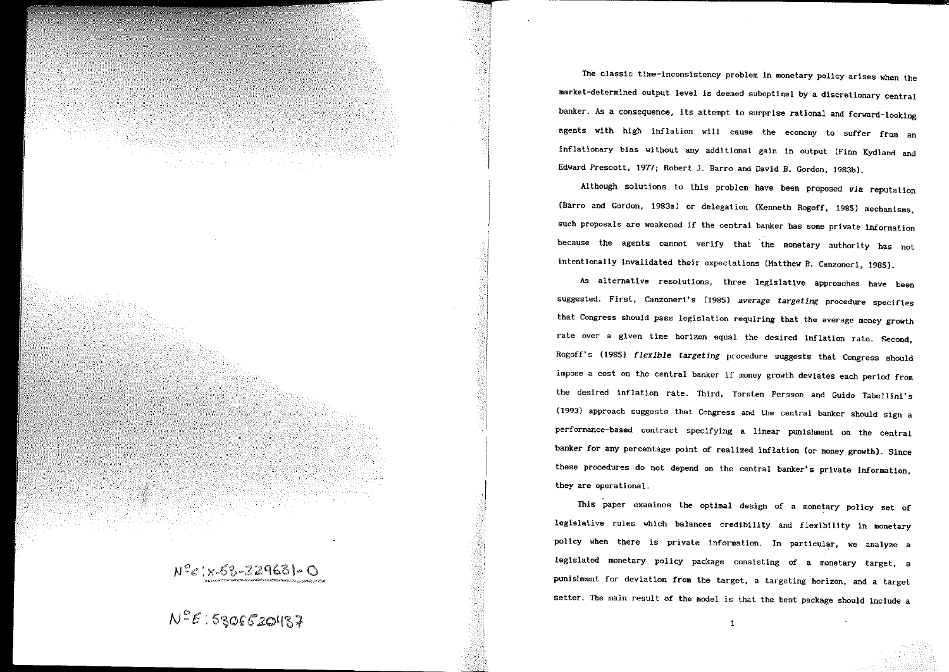

The classic tlme-inconslstency problem in monetary pollcy arises when the market-determined output level is deemed suboptimal by a discretionary central banker. As a consequence, its attempt to surprise rational and forward-looklng agents with high inflation will cause the economy to suffer from an inflationary bias without any additional gain in output (Finn Kydland and Edward Prescott, 1977; Robert J. Barro and David B. Gordon, 1983b).

Although solutions to this problem have been proposed *via* reputation (Barro and Gordon, 1983a) *or* delegation (Kenneth Rogoff, 1985) mechanisms, such proposals are weakened if the central banker has some private information because the agents cannot verify that the monetary authority has not intentionally lnvalidated their expectations (Matthew B. Canzoneri, 1985).

As alternative resolutions, three legislative approaches have been suggested. First, Canzoneri's (1985) *average targeting* procedure specifies that Congress should pass legislation requiring that the average money growth rate over a given time horizon equal the desired inflation rate. Second, Rogoff's (1985) *flexible targeting* procedure suggests that Congress should impose a cost on the central banker if money growth deviates each period from the desired inflation rate, Third, Torsten Persson and Guido Tabellini's (1993} approach suggests that Congress and the central banker should sign a performance-based contract specifying a linear punlshment on the central banker for any percentage point of realized inflation (or money growth). Since these procedures do not depend on the central banker's private information, they are operational.

This paper examines the optimal design of a monetary policy set of legislative rules which balances credibility and flexibility in monetary policy when there is private information. In particular, we analyze a legislated monetary policy package conslsting of a monetary target, a punishment for deviation from the target, a targeting horizon, and a target setter. The main result of the model is that the best package should include a

 $\mathbf{1}$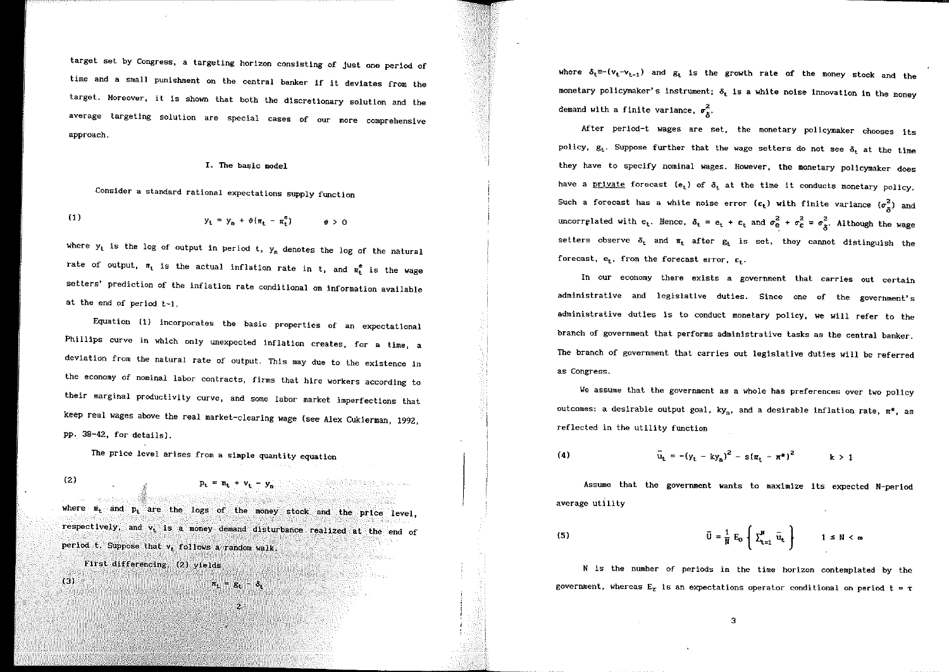target set by Congress, a targeting horizon consisting of just one period of time and a small punishment on the central banker if it deviates from the target, Moreover, it is shown that both the discretionary solution and the average targeting solution are special cases of our more comprehensive approach.

#### I. The basic model

Consider a standard rational expectatlons supply function

(1) 
$$
y_t = y_n + \theta(\pi_t - \pi_t^e) \qquad \theta > 0
$$

where  $y_t$  is the log of output in period t,  $y_n$  denotes the log of the natural rate of output,  $\pi_t$  is the actual inflation rate in t, and  $\pi_t^e$  is the wage setters' prediction of the inflation rate conditional on information available at the end of period t-1.

Equation (1) incorporates the basic properties of an expectational Phillips curve in which only unexpected inflation creates, for a time, a deviation from the natural rate of output. This may due to the existence in the economy of nominal labor contracts, firms that hire workers according to their marginal productivity curve, and some labor market imperfections that keep real wages above the real market-clearing wage (see Alex Cukierman, 1992, pp. 38-42, for details).

The price level arises from a simple quantity equation

(2)  $P_t$ 

where  $m_t$  and  $p_t$  are the logs of the money stock and the price level, respectively, and  $v_t$  is a money demand disturbance realized at the end of period t. Suppose that v, follows a random walk.

 $\pi_{1} = g_{1} - \delta_{1}$ 

 $\overline{\phantom{a}}$ 

First differencing, (2) yields

 $(3)$ 

where  $\delta_t$ =-(v<sub>t-vt-1</sub>) and  $g_t$  is the growth rate of the money stock and the monetary policymaker's instrument;  $\delta_t$  is a white noise innovation in the money demand with a finite variance,  $\sigma_{\delta}^2$ .

After perlod-t wages are set, the monetary policymaker chooses its policy,  $g_t$ . Suppose further that the wage setters do not see  $\delta_t$  at the time they have to specify nominal wages. However, the monetary policymaker does have a private forecast  $(e_t)$  of  $\delta_t$  at the time it conducts monetary policy. Such a forecast has a white noise error  $(\epsilon_t)$  with finite variance  $(\sigma_x^2)$  and  $\sigma_{\delta}^2$ . Although the wage setters observe  $\delta_t$  and  $\pi_t$  after  $g_t$  is set, they cannot distinguish the forecast,  $e_t$ , from the forecast error,  $\varepsilon_t$ .

In our economy there exists a government that carries out certain administrative and legislative duties. Since one of the government's administrative duties is to conduct monetary policy, we will refer to the branch of goverrunent that performs administrative tasks as the central banker. 1be branch of government that carries out legislative duties will be referred as Congress,

We assume that the government as a whole has preferences over two policy outcomes: a desirable output goal,  $ky_n$ , and a desirable inflation rate,  $\pi^*$ , as reflected in the utility function

(4)  $\overline{u}_t = -(y_t - ky_n)^2 - s(\pi_t - \pi^*)^2$   $k > 1$ 

Assume that the government wants to maximlze its expected N-period average utility

(5) 
$$
\overline{U} = \frac{1}{N} E_0 \left\{ \sum_{t=1}^N \overline{u}_t \right\} \qquad 1 \leq N < \infty
$$

N is the number of periods in the time horizon contemplated by the government, whereas  $E_{\tau}$  is an expectations operator conditional on period  $t = \tau$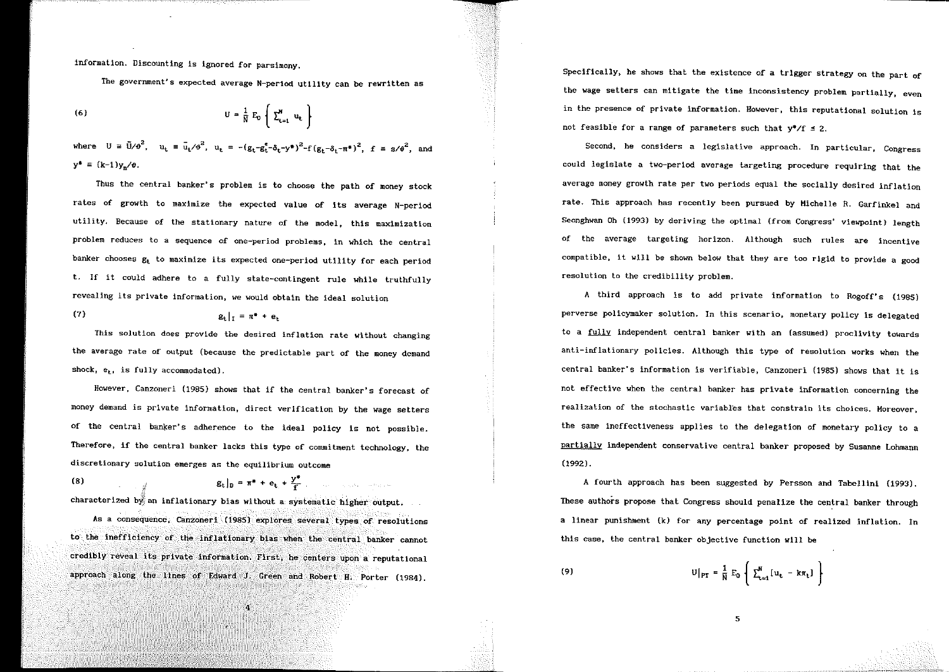information. Discounting ls lgnored for parslmony.

The government's expected average N-period utlllty can be rewrltten as

$$
U = \frac{1}{N} E_0 \left( \sum_{t=1}^N u_t \right)
$$

where  $U = \bar{U}/\theta^2$ ,  $u_t = \bar{u}_t/\theta^2$ ,  $u_t = -(\alpha_t - \alpha_t^2 - \delta_t - v^*)^2 - f(\alpha_t - \delta_t - \pi^*)^2$   $f \equiv \alpha/\theta^2$  and  $y^* = (k-1)y_x/\theta$ .

Thus the central banker's problem is to choose the path of money stock rates of growth to maximize the expected value of its average N-period utility. Because of the stationary nature of the model, thls maximization problem reduces to a sequence of one-period problems, in which the central banker chooses  $g_t$  to maximize its expected one-period utility for each period t. If it could adhere to a fully state-contingent rule while truthfully revealing its private information, we would obtain the ideal solution

$$
g_t|_1 = \pi^* + e_t
$$

(7)

This solution does provide the desired inflation rate without changing the average rate of output (because the predictable part of the money demand shock,  $e_t$ , is fully accommodated).

However, Canzoneri (1985) shows that if the central banker's forecast of money demand is private information, direct verlfication by the wage setters of the central banker's adherence to the ideal policy is not possible. Therefore, if the central banker lacks this type of commitment technology, the discretionary solution emerges as the equilibrium outcome

(8)  $g_t|_D = \pi^* + e_t + \frac{y^*}{f}$ 

characterized by an inflationary bias without a systematic higher output.

As a consequence, Canzoneri (1985) explores several types of resolutions to the inefficiency of the inflationary bias when the central banker cannot credibly revea! its private information. First, he centers upon a reputational approach along the lines of Edward J. Green and Robert H. Porter (1984).

4

Speclfically, he shows that the existence of a trlgger strategy on the part of the wage setters can mitigate the time inconsistency problem partially, even in the presence of private information. However, this reputational solution is not feasible for a range of parameters such that  $y^*/f \leq 2$ .

Second, he considers a legislative approach. In particular, Congress could legislate a two-period average targeting procedure requiring that the average money growth rate per two periods equal the socially desired lnflation rate. This approach has recently been pursued by Hichelle R. Garfinkel and Seonghwan Oh (1993) by deriving the optimal (from Congress' vlewpoint) length of the average targeting horizon. Although such rules are incentive compatible, it will be shown below that they are too rigid to provide a good resolution to the credibility problem.

A third approach is to add private information to Rogoff's (1985) perverse policymaker solution. In this scenario, monetary policy is delegated to a fully independent central banker with an {assumed) proclivity towards anti-inflationary policies. Although this type of resolution works when the central banker's information is verifiable, Canzoneri (1985) shows that it is not effective when the central banker has private information concerning the realization of the stochastic variables that constraln its choices. Moreover, the same ineffectiveness applies to the delegation of monetary policy to a partially independent conservative central banker proposed by Susanne Lohmann (1992).

A fourth approach has been suggested by Persson and Tabellini {1993). These authors propase that Congress should penalize the central banker through a linear punishment {k) for any percentage point of realized inflation. In this case, the central banker objective function will be

 $\mathbb{U}\big[_{\text{PT}} = \frac{1}{\text{N}}\,\mathbb{E}_0\,\left\{\,\sum_{\text{t}=1}^{\text{N}}\big[\mathbb{u}_{\text{t}}\,-\,\mathsf{k}\pi_{\text{t}}\big]\,\,\right\}$ (9)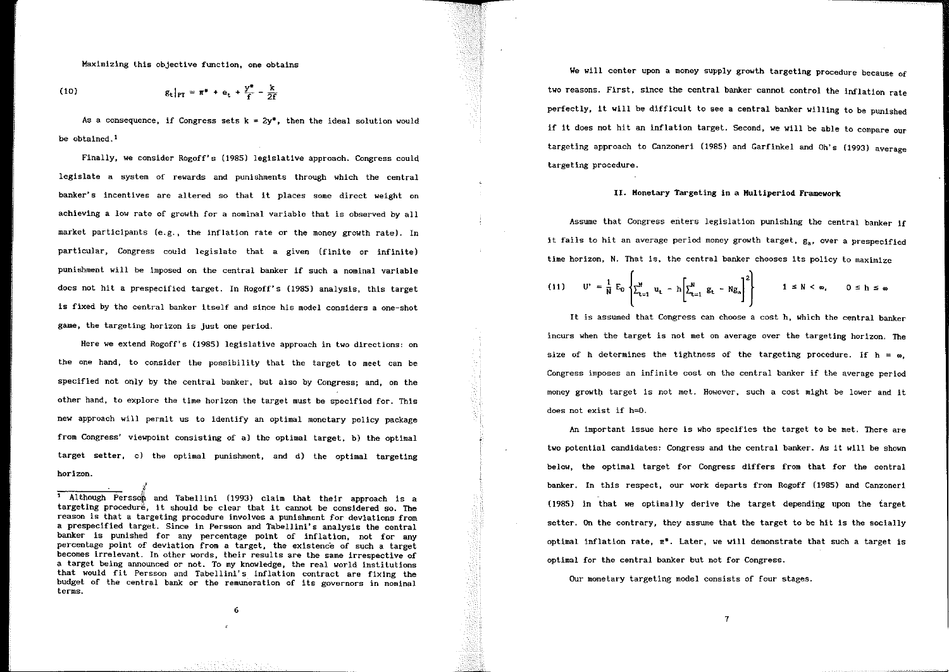Maxlmizlng this objective functlon, one obtalns

(10) 
$$
g_t|_{PT} = \pi^* + e_t + \frac{y^*}{f} - \frac{k}{2f}
$$

¡

As a consequence, if Congress sets  $k = 2v^*$ , then the ideal solution would be obtained.<sup>1</sup>

Finally, we consider Rogoff's (1985) legislatlve approach. Congress could legislate a system of rewards and punishments through which the central banker's incentives are altered so that it places some direct weight on achieving a low rate of growth for a nominal variable that is observed by all market participants (e.g., the inflation rate or the money growth rate). In particular, Congress could legislate that a given (finite or infinite) punishment will be imposed on the central banker if such a nominal variable does not hit a prespecified target. In Rogoff's {1985) analysls, thls target is fixed by the central banker ltself and since his model considers a one-shot game, the targeting horizon is just one period.

Here we extend Rogoff's (1985) legislative approach in two dlrections: on the one hand, to consider the possibility that the target to meet can be specified not only by the central banker, but also by Congress; and, on the other hand, to explore the time horizon the target must be specified far. This new approach will permit us to identify an optimal monetary policy package from Congress' viewpoint consisting of a) the optima! target, b) the optlmal target setter, c) the optimal punishment, and d) the optimal targeting horizon.

<sup>1</sup> Although Persson and Tabellini (1993) claim that their approach is a targeting proceduré, lt should be clear that it cannot be considered so. The reason is that a targeting procedure involves a punishment for deviations from a prespecified target. Since in Persson and Tabellini's analysis the central banker is punished for any percentage polnt of inflation, not for any percentage point of deviation from a target, the existence of such a target becomes irrelevant. In other words, their results are the same irrespective of a target being announced or not. To my knowledge, the real world institutions that would fit Persson and Tabellini's inflation contract are fixing the budget of the central bank or the remuneration of its governors in nominal terms.

We will center upon a money supply growth targeting procedure because of two reasons. First, since the central banker cannot control the inflatlon rate perfectly. It will be difficult to see a central banker willing to be punished if lt does not hit an inflation target. Second, we will be able to compare our targeting approach to Canzoneri (1985) and Garfinkel and Oh's {1993) average targeting procedure.

## IJ. Honetary Targeting in a Hultiperiod Framework

Assume that Congress enters legislation punishlng the central banker lf it fails to hit an average period money growth target,  $g_a$ , over a prespecified time horizon, N. That is, the central banker chooses its policy to maximize

(11) 
$$
U' = \frac{1}{N} E_0 \left\{ \sum_{t=1}^N u_t - h \left[ \sum_{t=1}^N g_t - N g_s \right]^2 \right\}
$$
  $1 \le N < \infty$ ,  $0 \le h \le \infty$ 

It is assumed that Congress can choose a cost h, which the central banker incurs when the target is not met on average over the targeting horlzon. The size of h determines the tightness of the targeting procedure. If  $h = \omega$ , Congress imposes an infinite cost on the central banker if the average period money growth target is not met. However, such a cost might be lower and it does not exist if h=O.

An lmportant issue here is who specifies the target to be met. There are two potential candidates: Congress and the central banker. As lt wlll be shown below, the optimal target for Congress differs from that for the central banker. In this respect, our work departs from Rogoff (1985) and Canzoneri  $(1985)$  in that we optimally derive the target depending upon the target setter. On the contrary, they assume that the target to be hit is the socially optima! inflation rate, *n•.* Later, we will demonstrate that such a target is optima! for the central banker but not for Congress.

OUr monetary targeting model consists of four stages.

6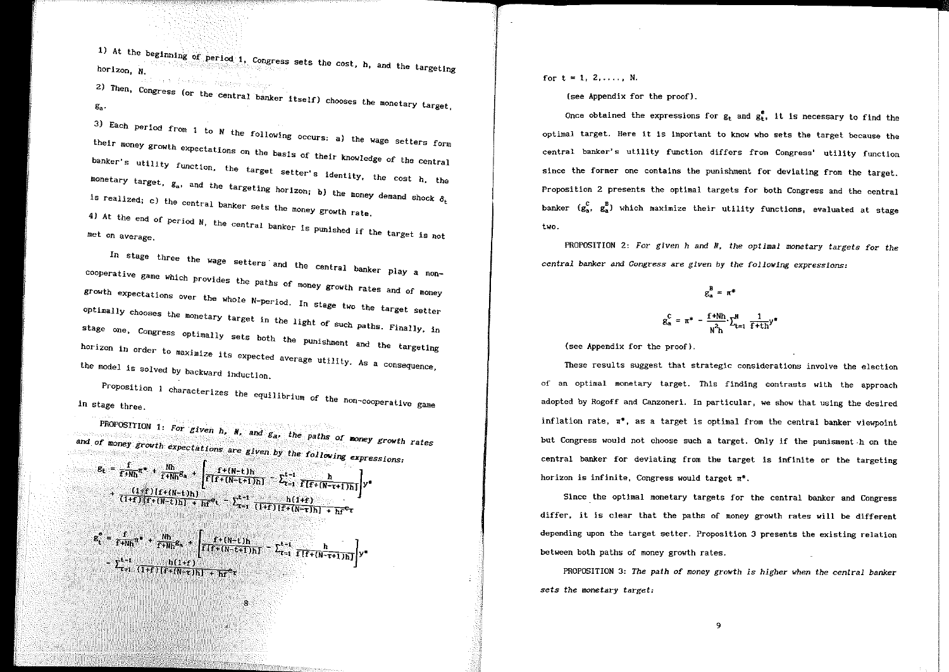1) At the beglnning horizon, N. examing of period 1, Congress sets the cost, h, and the targeting

<sup>2)</sup> Then, Congress (or the central banker itself) chooses the monetary target,<br>g<sub>a</sub>.

<sup>3) Each</sup> period from 1 to N the following occurs: a) the wage setters form<br>their money gradu their money growth expectatlons on the basis of their knowledge of the banker's utility function, the target setter's identity, the central  $\frac{1}{2}$ monetary target,  $g_a$ , and the targeting horizon; b) the money demand shock  $\delta_{\rm t}$ is realized; c) the central banker sets the money growth rate.

*41* At the end of period N, the central banker is punished if the target is not met on average.

In stage three the wage setters and the central banker play a no cooperative game which provides the paths of money growth rates and of money growth expectations over the whole N-period. In stage two the target setter optimally chooses the monetary target in the light of such paths. Finally, in stage one, Congress ontimily. Congress optimally sets both the punishment and the horizon in order to maximize its expected average that and the targeting the model is solved by backward induction.

Proposition 1 characterizes the equilibrium in stage three. **Example 20** in stage three.

PROPOSITION 1: For given  $h_i$ ,  $N_i$ , and  $g_{ai}$ , the paths of money growth rates and of money growth expectations are given by the following expressions:  $g_t = \frac{f}{f+Wh} \pi^* + \frac{Nh}{f+Wh} g_a + \left[ \frac{f+(N-t)h}{f\{f+(N-t+1)h\}} - \sum_{\tau=1}^{k-t} \frac{h}{f\{f+(N-\tau+1)h\}} \right] y^*$ <br>+  $\frac{(1\leq t)(f+(N-t)h)}{f\{f+(N-t+1)h\}}$  $\frac{(\text{I+f})[\text{f+(N-t)h}] + \text{h}f^{\text{el}}}{(\text{I+f})[\text{f+(N-t)h}] + \text{h}f^{\text{el}}}.$  $g_t^* = \frac{f}{f + Nh} n^* + \frac{Nh}{f + Nh} g_s + \left[ \frac{f + (N-t)h}{f[f+(N-t+1)h]} - \sum_{t=1}^{t-1} \frac{h}{f[f+(N-t+1)h]} \right] y^*$ -  $\sum_{\tau=1}^{t-1} \frac{h(1+r)}{(1+r)[f+(N-\tau)h]+hf^{\sigma}\tau}$ 8

for  $t = 1, 2, \ldots, N$ .

(see Appendix for the proof}.

Once obtained the expressions for  $g_t$  and  $g_t^e$ , it is necessary to find the optima! target. Here it is important to know who sets the target because the central banker's utility function differs from Congress' utility function since the former one contains the punishment for deviating from the target. Proposition 2 presents the optimal targets for both Congress and the central banker  $(g_{a}^{c}, g_{a}^{B})$  which maximize their utility functions, evaluated at stage two.

PROPOSITION 2: *For given h and N, the optimal monetary targets for the central banker* and *Congress* are *given by the followlng expressions:* 

> $g_n^B = \pi^*$  $g_{a}^{C} = \pi^{*} - \frac{f + Nh}{2} \sum_{i=1}^{N}$  $\frac{1}{f+th}y^*$  $N<sup>2</sup>$ h  $\sim$ t=1

(see Appendix for the proof).

These results suggest that strategic considerations involve the election of an optimal monetary target. This finding contrasts with the approach adopted by Rogoff and Canzoneri. In particular, we show that using the desired inflation rate,  $\pi^*$ , as a target is optimal from the central banker viewpoint but Congress would not choose such a target. Only if the punisment-h on the central banker for deviating from the target is infinlte or the targeting horizon is infinite, Congress would target  $\pi^*$ .

Since the optimal monetary targets for the central banker and Congress differ, it is clear that the paths of money growth rates will be different depending upon the target setter. Proposition 3 presents the existing relation between both paths of money growth rates.

PROPOSITION 3: *The path of money grawth is higher when the central banker sets the monetary target:*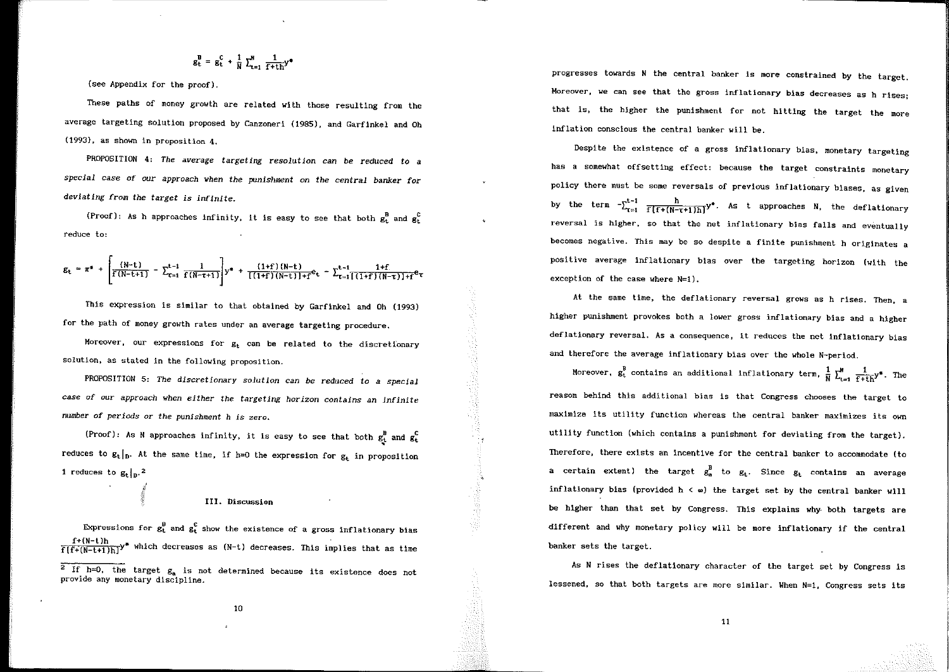$$
g_t^B = g_t^C + \frac{1}{N} \sum_{t=1}^N \frac{1}{f + th} y^*
$$

{see Appendix for the proof),

These paths of money growth are related with those resulting from the average targeting solution proposed by Canzoneri (1985), and Garfinkel and Oh (1993), as shown in proposition 4.

PROPOSITION 4: *The average targeting resolution* can *be* reduced *to a special case* of our approach *when the punishment on the central* banker far *deviating from the target is inflnite.* 

(Proof): As h approaches infinity, it is easy to see that both  $g_t^B$  and  $g_t^C$ reduce to:

$$
g_{t} = \pi^{*} + \left[\frac{(N-t)}{f(N-t+1)} - \sum_{\tau=1}^{t-1} \frac{1}{f(N-\tau+1)}\right] y^{*} + \frac{(1+f)(N-t)}{[(1+f)(N-t)]+f} e_{t} - \sum_{\tau=1}^{t-1} \frac{1+f}{[(1+f)(N-\tau)]+f} e_{\tau}
$$

This expression is similar to that obtained by Garfinkel and Oh (1993) for the path of money growth rates under an average targetlng procedure.

Moreover, our expressions for  $g_t$  can be related to the discretionary solution, as stated in the following proposition.

PROPOSITION 5: *The discretionary solution can be reduced to a special case* of our *approach when either the targeting horizon contains an lnfinite*  number *of periods* or the *punishment h is* zero.

(Proof): As N approaches infinity, it is easy to see that both  $g_t^B$  and  $g_t^C$ reduces to  $g_t|_p$ . At the same time, if h=0 the expression for  $g_t$  in proposition 1 reduces to  $g_t|_{p}$ . 2

#### III. Discussion

Expressions for  $g_t^B$  and  $g_t^C$  show the existence of a gross inflationary bias  $f+(N-t)h$ <br> $f(f+(N-t+1)h)^2$  which decreases as (N-t) decreases. This implies that as time progresses towards N the central banker is more constralned by the target. Moreover, we can see that the gross inflationary bias decreases as h rises; that is, the higher the punishment for not hitting the target the more inflation conscious the central banker will be.

Despite the existence of a gross inflationary bias, monetary targeting has a somewhat offsetting effect: because the target constraints monetary policy there must be some reversals of previous inflationary biases, as given by the term  $-\sum_{\tau=1}^{t-1} \frac{h}{f[f+(N-\tau+1)h]}y^*$ . As t approaches N, the deflationary reversal is higher, so that the net inflationary bias falls and eventually becomes negative. This may be so despite a finite punishment h originates a positive average inflationary bias over the targeting horizon (with the exception of the case where N=l).

At the same time, the deflationary reversal grows as h rises. Then, a higher punishment provokes both a lower gross inflationary bias and a higher deflationary reversal. As a consequence, it reduces the net inflationary bias and therefore the average inflationary bias over the whole N-period.

Moreover,  $g_t^B$  contains an additional inflationary term,  $\frac{1}{N}\sum_{t=1}^N\frac{1}{f+t h}y^*$ . The reason behind this additional bias is that Congress chooses the target to maximize its utility function whereas the central banker maximizes its own utility function (which contains a punishment for deviating from the target). Therefore, there exists an incentive for the central banker to accommodate (to a certain extent) the target  $g_a^B$  to  $g_t$ . Since  $g_t$  contains an average inflationary bias (provided  $h \leq \omega$ ) the target set by the central banker will be higher than that set by Congress. This explains why- both targets are different and why monetary policy will be more inflationary if the central banker sets the target.

As N rises the deflationary character of the target set by Congress is lessened, so that both targets are more similar. When  $N=1$ , Congress sets its

 $\overline{2}$  If h=0, the target  $g_a$  is not determined because its existence does not provide any monetary discipline.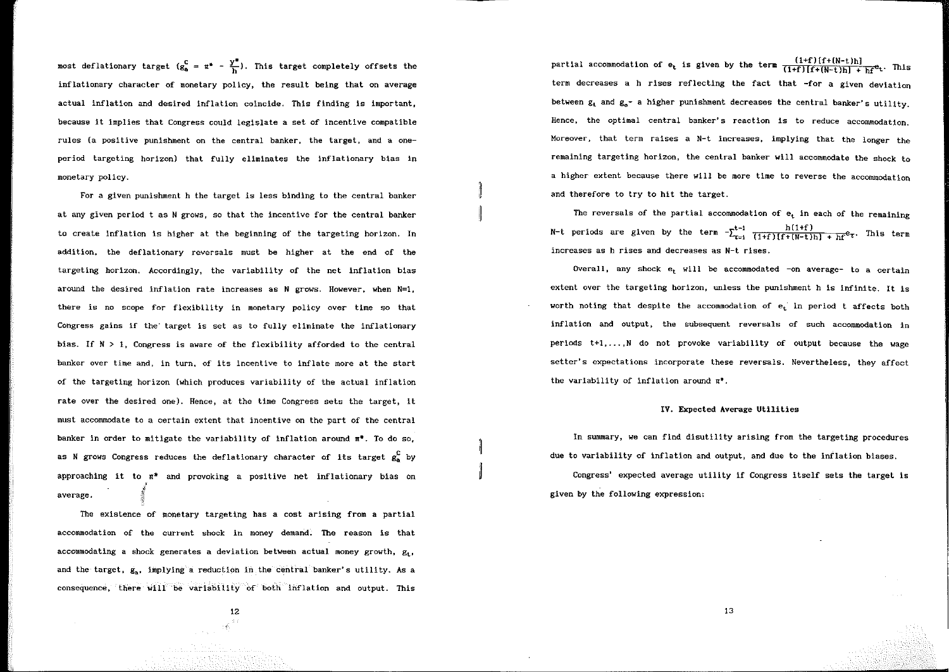most deflationary target  $(g_a^c = \pi^* - \frac{y^*}{h})$ . This target completely offsets the inflationary character of monetary policy, the result being that on average actual inflation and desired inflatlon coincide. This finding is important, because it implies that Congress could legislate a set of incentive compatible rules (a posltive punishment on the central banker, the target, and a oneperiod targeting horizon) that fully eliminates the inflationary bias in monetary policy.

For a given punishment h the target is less blnding to the central banker at any given period t as N grows, so that the incentive for the central banker to create inflation is higher at the beginning of the targeting horizon. In addition, the deflationary reversals must be higher at the end of the targeting horizon. Accordingly, the variability of the net inflation bias around the desired inflation rate increases as N grows. However, when  $N=1$ , there is no scope for flexibility in monetary policy over time so that Congress gains if the target is set as to fully eliminate the inflationary bias. If  $N > 1$ , Congress is aware of the flexibility afforded to the central banker over time and, in turn, of its incentive to inflate more at the start of the targeting horizon (which produces variability of the actual inflation rate over the desired one). Hence, at the time Congress sets the target, it must accorrunodate to a certain extent that incentive on the part of the central banker in order to mitigate the variability of inflation around  $\pi^*$ . To do so, as N grows Congress reduces the deflationary character of its target  $g_s^C$  by approaching it to  $\pi^*$  and provoking a positive net inflationary bias on average. l :§

The existence of monetary targeting has a cost arising from a partial accommodation of the current shock in money demand. The reason is that accommodating a shock generates a deviation between actual money growth,  $g_t$ . and the target, g,, implying a reduction in the central banker's utility. As a consequence, there will be variability of both inflation and output. This

partial accommodation of  $e_t$  is given by the term  $\frac{(1+f) [f+(N-t)h]}{(1+f) [f+(N-t)h] + hf^2t}$ . This term decreases a h rises reflecting the fact that -for a given deviation between  $g_t$  and  $g_{2}$ - a higher punishment decreases the central banker's utility. Hence, the optimal central banker's reaction is to reduce accommodation. Moreover, that term raises a N-t increases, implying that the longer the remaining targeting horizon, the central banker will accommodate the shock to a higher extent because there will be more time to reverse the accommodation and therefore to try to hit the target.

The reversals of the partial accommodation of  $e_t$  in each of the remaining N-t periods are given by the term  $-\sum_{\tau=1}^{t-1} \frac{h(1+f)}{(1+f)[f+(N-t)h] + hf^c \tau}$ . This term increases as h rises and decreases as N-t rises.

Overall, any shock  $e_t$ , will be accommodated  $-\text{on}$  average- to a certain extent over the targeting horizon, unless the punishment h is infinite. It is worth noting that despite the accommodation of  $e_t$  in period t affects both inflation and output, the subsequent reversals of such accommodation in periods  $t+1,...,N$  do not provoke variability of output because the wage setter's expectations incorporate these reversals. Nevertheless, they affect the variability of inflation around *n•.* 

#### IV. Expected Average Utilities

In summary, we can find disutility arising from the targeting procedures due to variability of inflation and output, and due to the inflation blases.

Congress' expected average utility if Congress itself sets the target is given by the following expression:

12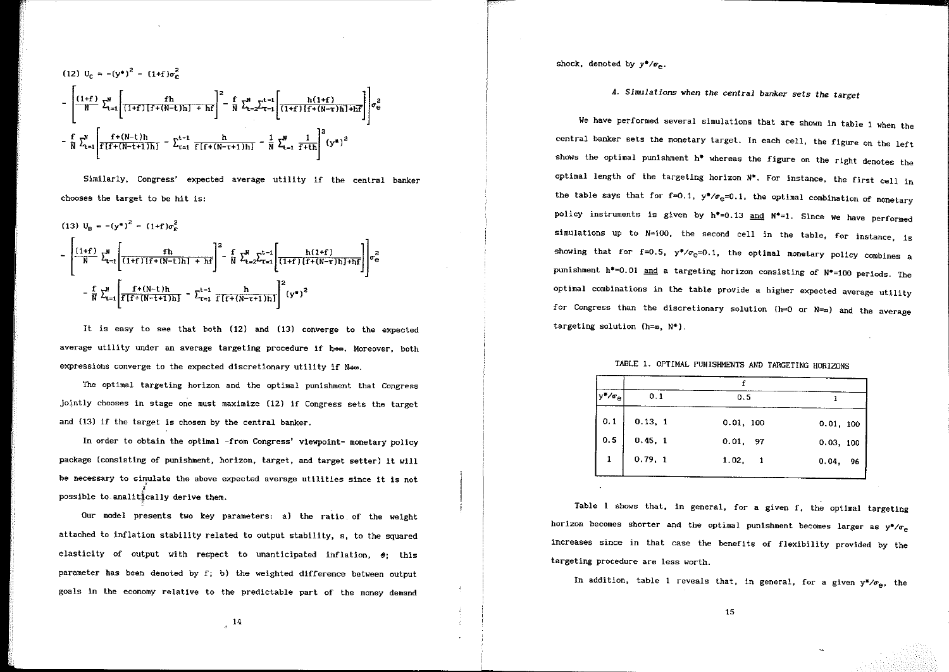$$
(12) \ U_{C} = -(y^{*})^{2} - (1+f)\sigma_{C}^{2}
$$
\n
$$
-\left[\frac{(1+f)}{N} \sum_{t=1}^{N} \left[ \frac{fh}{(1+f)[f+(N-t)h] + hf} \right]^{2} - \frac{f}{N} \sum_{t=2}^{N} \sum_{\tau=1}^{t-1} \left[ \frac{h(1+f)}{(1+f)[f+(N-\tau)h] + hf} \right] \sigma_{\theta}^{2}
$$
\n
$$
-\frac{f}{N} \sum_{t=1}^{N} \left[ \frac{f^{+}(N-t)h}{f[f+(N-t+1)h]} - \sum_{\tau=1}^{t-1} \frac{h}{f[f+(N-\tau+1)h]} - \frac{1}{N} \sum_{t=1}^{N} \frac{1}{f+th} \right]^{2} (y^{*})^{2}
$$

Similarly, Congress' expected average utillty lf the central banker chooses the target to be hit is:

$$
(13) \quad U_{B} = -(y^{*})^{2} - (1+f)\sigma_{C}^{2}
$$
\n
$$
-\left[\frac{(1+f)}{N} \sum_{t=1}^{N} \left[ \frac{fh}{(1+f)[f+(N-t)h] + hf} \right]^{2} - \frac{f}{N} \sum_{t=2}^{N} \sum_{\tau=1}^{t-1} \left[ \frac{h(1+f)}{(1+f)[f+(N-\tau)h] + hf} \right] \right] \sigma_{e}^{2}
$$
\n
$$
-\frac{f}{N} \sum_{t=1}^{N} \left[ \frac{f+(N-t)h}{f[f+(N-t+1)h]} - \sum_{\tau=1}^{t-1} \frac{h}{f[f+(N-\tau+1)h]} \right]^{2} (y^{*})^{2}
$$

It is easy to see that both (12} and (13) converge to the expected average utility under an average targeting procedure if hem. Moreover, both expressions converge to the expected discretionary utility if  $N\rightarrow\infty$ .

The optimal targeting horizon and the optimal punishment that Congress iointly chooses in stage one must maximize (12) if Congress sets the target and {13) if the target is chosen by the central banker.

In order to obtain the optimal -from Congress' vlewpoint- monetary pollcy package (consisting of punishment, horizon, target, and target setter) lt wlll be necessary to simulate the above expected average utilities since it is not  $\mathop{{\rm possible\,\,to\,analit}}\nolimits^{\ell}_{{\rm{cally}}}$ cally derive them.

Our model presents two key parameters: a) the ratio of the weight attached to inflation stabillty related to output stablllty, s, to the squared elasticity of output with respect to unanticipated inflation,  $\theta$ ; this parameter has been denoted by f; b) the weighted difference between output goals in the economy relative to the predictable part of the money demand shock, denoted by  $y^*/\sigma_{\varpi}$ .

1

# *A. Simu.lations when the central banker sets the target*

We have performed several simulations that are shown in table 1 when the central banker sets the monetary target. In each cell, the figure on the left shows the optimal punishment  $h^*$  whereas the figure on the right denotes the optimal length of the targeting horizon  $N^*$ . For instance, the first cell in the table says that for  $f=0.1$ ,  $y*/\sigma_e=0.1$ , the optimal combination of monetary policy instruments is given by  $h^*=0.13$  and  $N^*=1$ . Since we have performed simulations up to  $N=100$ , the second cell in the table, for instance, is showing that for f=0.5,  $y*/\sigma_{e}=0.1$ , the optimal monetary policy combines a punishment  $h^* = 0.01$  and a targeting horizon consisting of  $N^* = 100$  periods. The optimal combinations in the table provide a higher expected average utility for Congress than the discretionary solution  $(h=0 \text{ or } N=a)$  and the average targeting solution ( $h=\omega$ ,  $N^*$ ).

# TABLE 1. OPTIMAL PUNISHMENTS AND TARGETING HORIZONS

| *⁄σe |         |           |           |
|------|---------|-----------|-----------|
|      | 0.1     | 0.5       |           |
| 0.1  | 0.13, 1 | 0.01, 100 | 0.01, 100 |
| 0.5  | 0.45, 1 | $0.01$ 97 | 0.03, 100 |
| 1    | 0.79, 1 | 1.02, 1   | 0.04, 96  |
|      |         |           |           |

Table 1 shows that, in general, for a given f, the optlmal targeting horizon becomes shorter and the optimal punishment becomes larger as  $y^*/\sigma_e$ increases since in that case the benefits of flexibility provided by the targeting procedure are less worth.

In addition, table 1 reveals that, in general, for a given  $y^*/\sigma_{e}$ , the

 $\frac{14}{11}$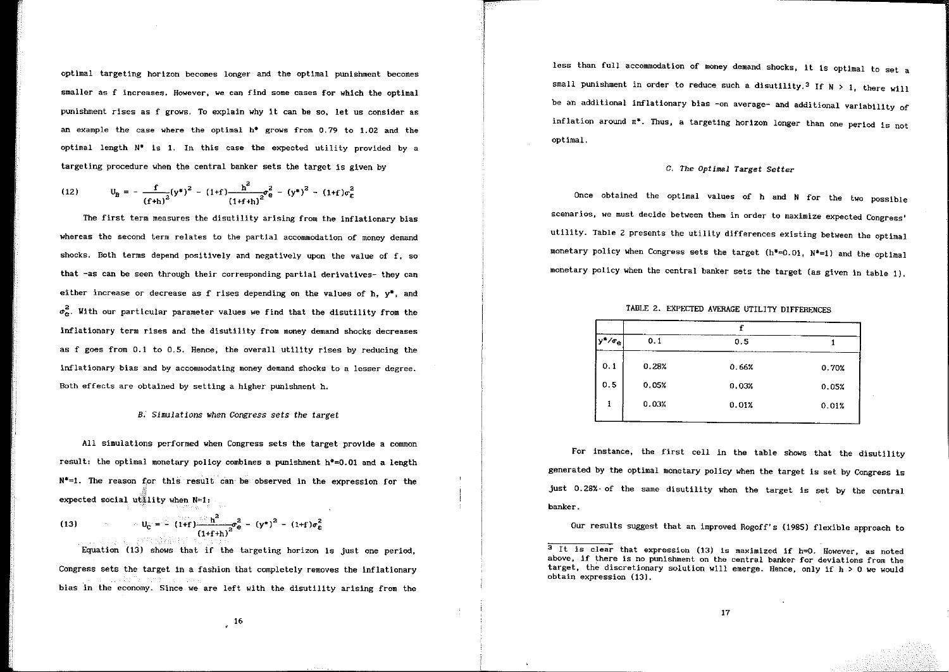optima! targeting horizon becomes longer and the optima! punishment becomes smaller as f increases. However, we can find some cases for which the optima! punishment rises as f grows. To explain why lt can be so, !et us consider as an example the case where the optimal  $h^*$  grows from 0.79 to 1.02 and the optimal length  $N^*$  is 1. In this case the expected utility provided by a targeting procedure when the central banker sets the target is given by

(12) 
$$
U_{\text{B}} = -\frac{f}{(f+h)^2}(y^*)^2 - (1+f)\frac{h^2}{(1+f+h)^2}\sigma_{\text{e}}^2 - (y^*)^2 - (1+f)\sigma_{\text{E}}^2
$$

The first term measures the disutility arising from the inflationary bias whereas the second term relates to the partial accommodation of money demand shocks. Both terms depend positively and negatively upon the value of f, so that -as can be seen through their corresponding partlal derivatives- they can either increase or decrease as f rises depending on the values of h,  $y^*$ , and  $\sigma_{\alpha}^2$ . With our particular parameter values we find that the disutility from the inflationary term rlses and the disutility from money demand shocks decreases as f goes from  $0.1$  to  $0.5$ . Hence, the overall utility rises by reducing the inflationary bias and by accommodating money demand shocks to a lesser degree. Both effects are obtained by setting a higher punishment h.

## *B. Simulations when Congress sets the* target

Al! simulations performed when Congress sets the target provide a common result: the optima! monetary policy combines a punishment h\*=0.01 and a length  $N^*=1$ . The reason for this result can be observed in the expression for the expected social utility when  $N=1$ :

(13) 
$$
U_{C} = \sqrt{(1+f)} \frac{h^{2}}{(1+f+h)^{2}} \sigma_{e}^{2} - (y^{*})^{2} - (1+f)\sigma_{E}^{2}
$$

Equation (13) shows that if the targeting horizon is just one period,

Congress sets the target in a fashion that completely removes the lnflationary bias in the economy. Since we are left with the dlsutility arising from the less than full accommodation of money demand shocks, it is optimal to set a small punishment in order to reduce such a disutility.<sup>3</sup> If  $N > 1$ , there will be an additional inflationary bias -on average- and additional variability of inflation around  $\pi^*$ . Thus, a targeting horizon longer than one period is not optima!.

#### *C. The Optimal Target Setter*

Once obtained the optimal values of h and N for the two possible scenarios, we must decide between them in order to maximize expected Congress' utility. Table 2 presents the utility differences exlsting between the optima! monetary policy when Congress sets the target  $(h^*=0.01, N^*=1)$  and the optimal monetary policy when the central banker sets the target (as given in table 1).

TABLE 2. EXPECTED AVERAGE UTILITY DIFFERENCES

| $ y^*/\sigma_{\bf e} $ | 0.1   | 0.5   |       |
|------------------------|-------|-------|-------|
| 0.1                    | 0.28% | 0.66% | 0.70% |
| 0.5                    | 0.05% | 0.03% | 0.05% |
| 1                      | 0.03% | 0.01% | 0.01% |
|                        |       |       |       |

For instance, the first cell in the table shows that the disutility generated by the optima! monetary policy when the target is set by Congress is just 0.28%· of the same disutility when the target is set by the central banker.

Our results suggest that an improved Rogoff's (1985) flexible approach to

 $\overline{3}$  It is clear that expression (13) is maximized if h=0. However, as noted above, if there is no punishment on the central banker for deviatlons from the target, the discretionary solution will emerge. Hence, only if h > O we would obtain expression (13).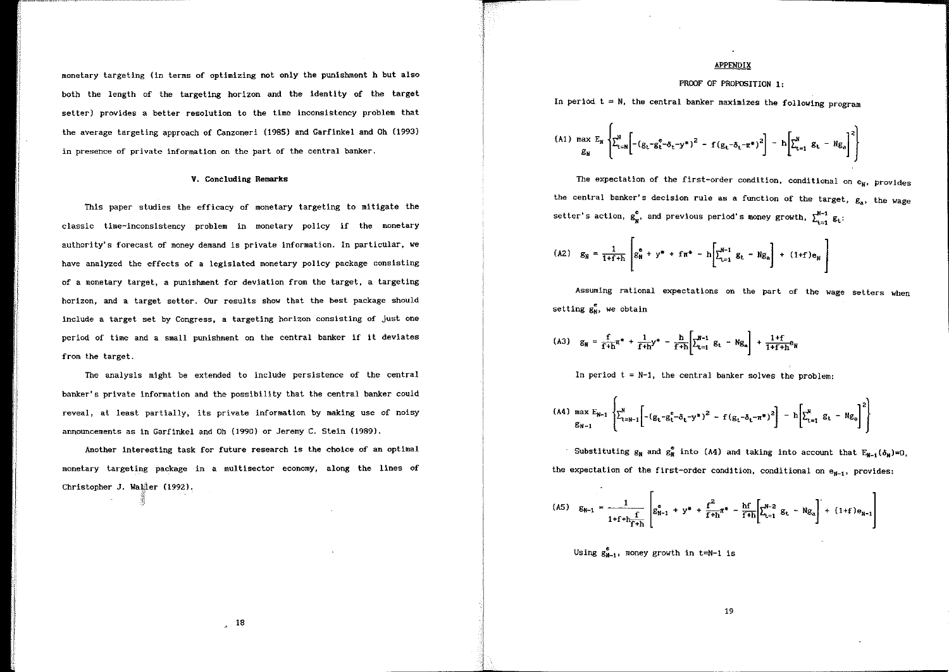monetary targeting (in terms of optimizing not only the punishment h but also both the length of the targeting horizon and the identity of the target setter) provides a better resolution to the time inconsistency problem that the average targeting approach of Canzoneri {1985) and Garfinkel and Oh (1993) in presence of private information on the part of the central banker.

#### V. Concluding Remarks

This paper studies the efficacy of monetary targeting to mitigate the classic time-inconsistency problem in monetary policy if the monetary authority's forecast of money demand is private information. In particular, we have analyzed the effects of a legislated monetary pollcy package consisting of a monetary target, a punishment for deviation from the target, a targeting horizon, and a target setter. Our results show that the best package should lnclude a target set by Congress, a targeting horlzon consistlng of just one period. of time and a small punishment on the central banker if it deviates from the target.

The analysis might be extended to include persistence of the central banker's private information and the possibillty that the central banker could revea!, at least partially, its private information by making use of noisy announcements as in Garfinkel and Oh (1990) or Jeremy C. Stein (1989).

Another lnteresting task for future research is the choice of an optima! monetary targeting package in a multisector economy, along the lines of Christopher J. Waller (1992).

#### APPENDIX

## PROOF OF PROPOSITION 1:

In period  $t = N$ , the central banker maximizes the following program

(A1) max 
$$
E_N
$$
  $\left\{ \sum_{t=N}^N \left[ - (g_t - g_t^e - \delta_t - y^*)^2 - f(g_t - \delta_t - \pi^*)^2 \right] - h \left[ \sum_{t=1}^N g_t - Ng_s \right]^2 \right\}$ 

The expectation of the first-order condition, conditional on  $e_{M}$ , provides the central banker's decision rule as a function of the target,  $g_a$ , the wage setter's action,  $g_{w}^{e}$ , and previous period's money growth,  $\sum_{i=1}^{N-1} g_{t}$ :

(A2) 
$$
g_N = \frac{1}{1+f+h} \left[ g_N^e + y^* + f\pi^* - h \left[ \sum_{t=1}^{N-1} g_t - Ng_a \right] + (1+f)e_N \right]
$$

Assuming rational expectations on the part of the wage setters when setting  $g_N^e$ , we obtain

(A3) 
$$
g_N = \frac{f}{f+h} \pi^* + \frac{1}{f+h} y^* - \frac{h}{f+h} \left[ \sum_{t=1}^{N-1} g_t - Ng_a \right] + \frac{1+f}{1+f+h} e_N
$$

In period  $t = N-1$ , the central banker solves the problem:

$$
(A4) \max_{g_{N-1}} E_{N-1} \left\{ \sum_{t=N-1}^{N} \left[ - (g_t - g_t^e - \delta_t - y^*)^2 - f (g_t - \delta_t - \pi^*)^2 \right] - h \left[ \sum_{t=1}^{N} g_t - N g_s \right]^2 \right\}
$$

Substituting  $g_N$  and  $g_N^e$  into (A4) and taking into account that  $E_{N-1}(\delta_M)=0$ , the expectation of the first-order condition, conditional on  $e_{N-1}$ , provides:

$$
(A5) \quad g_{N-1} = \frac{1}{1 + f + h_{\overline{f} + h}} \left[ g_{N-1}^e + y^* + \frac{f^2}{f + h} \pi^* - \frac{hf}{f + h} \left[ \sum_{t=1}^{N-2} g_t - Ng_a \right] + (1 + f) e_{N-1} \right]
$$

Using  $g_{N-1}^e$ , money growth in t=N-1 is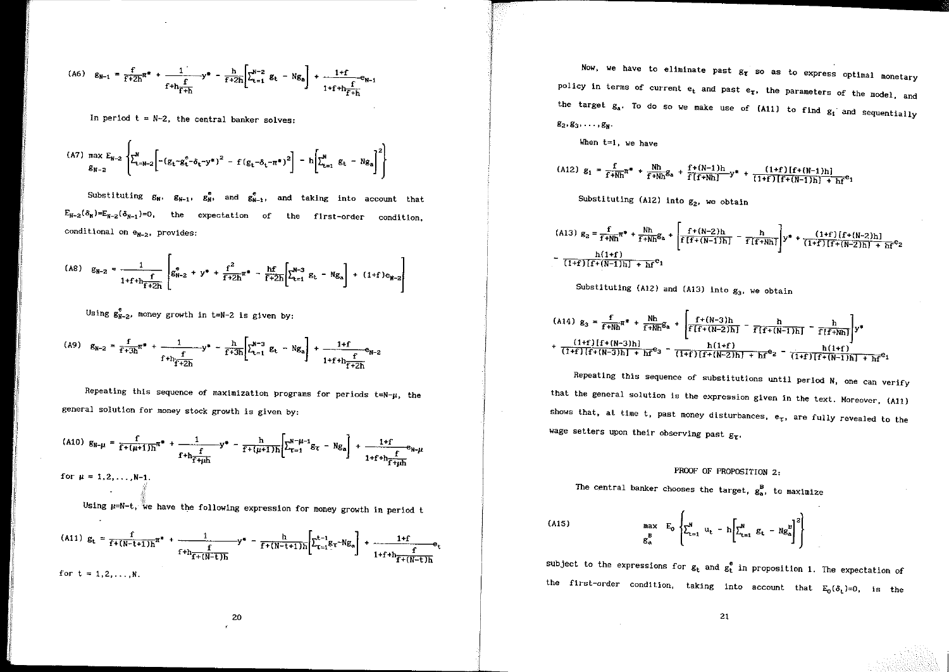$$
\text{(A6)} \quad g_{N-1} = \frac{f}{f+2h} \pi^* + \frac{1}{f+h} \Psi^* - \frac{h}{f+2h} \left[ \sum_{t=1}^{N-2} g_t - Ng_0 \right] + \frac{1+f}{1+f+h} e_{N-1}
$$

In period  $t = N-2$ , the central banker solves:

$$
{}^{(A7)} \max E_{N-2} E_{N-2} \left\{ \sum_{t=N-2}^{N} \left[ - (g_t - g_t^e - \delta_t - y^*)^2 - f (g_t - \delta_t - \pi^*)^2 \right] - h \left[ \sum_{t=1}^{N} g_t - N g_a \right]^2 \right\}
$$

Substituting  $g_W$ ,  $g_{W-1}$ ,  $g_W^e$ , and  $g_{W-1}^e$ , and taking into account that conditional on  $e_{N-2}$ , provides: expectation of the flrst-order condition,

$$
(A8) \quad g_{N-2} = \frac{1}{1+f+h_{\overline{f}+2h}} \left[ g_{N-2}^{\bullet} + y^* + \frac{f^2}{f+2h} \pi^* - \frac{hf}{f+2h} \left[ \sum_{t=1}^{N-3} g_t - N g_a \right] + (1+f) e_{N-2} \right]
$$

Using  $g_{N-2}^e$ , money growth in t=N-2 is given by:

$$
(A9) \quad g_{N-2} = \frac{f}{f+3h} \pi^* + \frac{1}{f+h} \frac{f}{f+2h} y^* - \frac{h}{f+3h} \left[ \sum_{t=1}^{N-3} g_t - N g_a \right] + \frac{1+f}{1+f+h} e_{N-2}
$$

Repeating this sequence of maximization programs for periods  $t=N-\mu$ , the general solution for money stock growth is given by:

$$
(A10) \ g_{N-\mu} = \frac{f}{f+(\mu+1)h} \pi^* + \frac{1}{f+h_{\overline{f+\mu}h}} y^* - \frac{h}{f+(\mu+1)h} \left[ \sum_{\tau=1}^{N-\mu-1} g_{\tau} - N g_{a} \right] + \frac{1+f}{1+f+h_{\overline{f+\mu}h}} e_{N-\mu}
$$
  
for  $\mu = 1, 2, ..., N-1$ .

Using  $\mu=N-t$ , we have the following expression for money growth in period t

(A11) 
$$
g_t = \frac{f}{f + (N-t+1)h} \pi^* + \frac{1}{f + h \frac{f}{f + (N-t+1)h}} y^* - \frac{h}{f + (N-t+1)h} \left[ \sum_{\tau=1}^{t-1} g_{\tau} - Ng_a \right] + \frac{1+f}{1+f + h \frac{f}{f + (N-t)h}} e_t
$$
  
for  $t = 1, 2, ..., N$ .

Now, we have to eliminate past  $g_{\tau}$  so as to express optimal monetary policy in terms of current  $e_t$  and past  $e_{\tau}$ , the parameters of the model, and the target  $g_a$ . To do so we make use of (A11) to find  $g_i$  and sequentially  $g_2, g_3, \ldots, g_N$ .

When t=1, we have

(A12) 
$$
g_1 = \frac{f}{f + Nh} \pi^* + \frac{Nh}{f + Nh} g_a + \frac{f + (N-1)h}{f[f + Nh]} y^* + \frac{(1+f)[f + (N-1)h]}{(1+f)[f + (N-1)h] + hf} e_1
$$

Substituting (A12) into  $g_2$ , we obtain

$$
(A13) g_2 = \frac{f}{f + Nh} \pi^* + \frac{Nh}{f + Nh} g_a + \left[ \frac{f + (N-2)h}{f[f + (N-1)h]} - \frac{h}{f[f + Nh]} \right] y^* + \frac{(1+f)[f + (N-2)h]}{(1+f)[f + (N-2)h] + hf^c}
$$
  

$$
= \frac{h(1+f)}{(1+f)[f + (N-1)h] + hf^c}
$$

Substituting (A12) and (A13) into 
$$
g_3
$$
, we obtain

(A14) 
$$
g_3 = \frac{f}{f+Nh} \pi^* + \frac{Nh}{f+Nh} g_a + \left[ \frac{f+(N-3)h}{f(f+(N-2)h)} - \frac{h}{f(f+(N-1)h)} \right] \times \frac{h}{f(f+Nh)} \right] y^*
$$
  
+  $\frac{(1+f)[f+(N-3)h]}{(1+f)[f+(N-3)h] + hf} g_3 - \frac{h(1+f)}{(1+f)[f+(N-2)h] + hf} g_2 - \frac{h(1+f)}{(1+f)[f+(N-1)h] + hf} g_1$ 

Repeating this sequence of substitutions until period N, one can verify that the general solution is the expression given in the text, Moreover, {All) shows that, at time t, past money disturbances,  $e_T$ , are fully revealed to the wage setters upon their observing past  $g_{\tau}$ .

# PROOF OF PROPOSITION 2:

The central banker chooses the target,  $g_a^B$ , to maximize

{AlS)

$$
\begin{bmatrix} \max_{B} & E_{0} \\ \sum_{t=1}^{N} & u_{t} - h \left[ \sum_{t=1}^{N} g_{t} - N g_{a}^{B} \right]^{2} \end{bmatrix}
$$

subject to the expressions for  $g_t$  and  $g_t^e$  in proposition 1. The expectation of the first-order condition, taking into account that  $E_0(\delta_t)=0$ , is the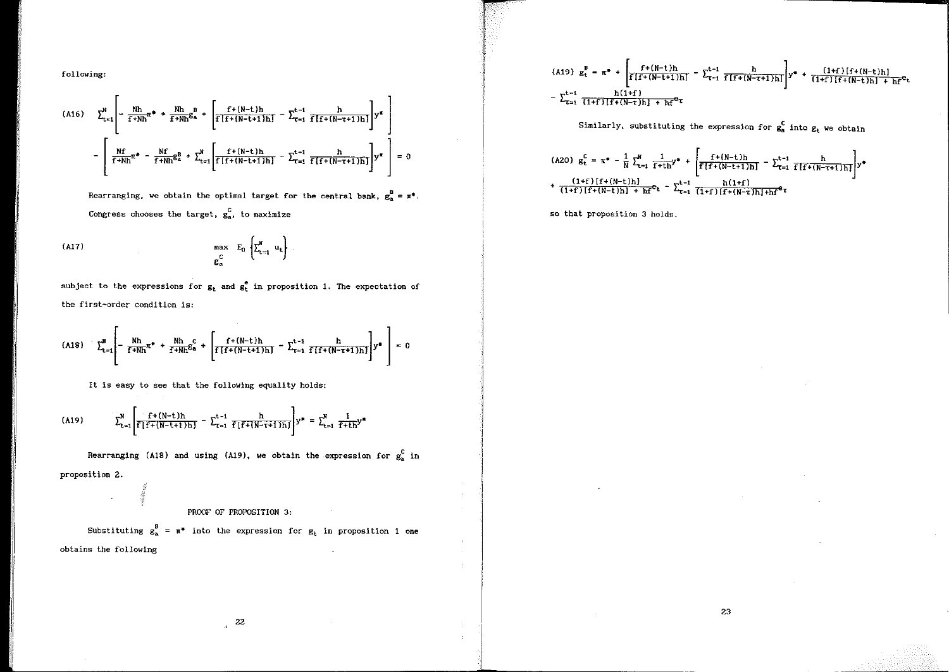following:

$$
(A16) \quad \sum_{t=1}^{N} \left[ -\frac{Nh}{f+Nh} \pi^* + \frac{Nh}{f+Nh} g_a^B + \left[ \frac{f+(N-t)h}{f\left[f+(N-t+1)h\right]} - \sum_{t=1}^{t-1} \frac{h}{f\left[f+(N-t+1)h\right]} \right] y^* \right] - \left[ \frac{Nf}{f+Nh} \pi^* - \frac{Nf}{f+Nh} g_a^B + \sum_{t=1}^{N} \left[ \frac{f+(N-t)h}{f\left[f+(N-t+1)h\right]} - \sum_{t=1}^{t-1} \frac{h}{f\left[f+(N-t+1)h\right]} \right] y^* \right] = 0
$$

Rearranging, we obtain the optimal target for the central bank,  $g_a^B = \pi^*$ . Congress chooses the target,  $g_a^C$ , to maximize

(Al?)

 $\mathcal{L}^{\mathcal{L}}$ 

$$
\max_{\substack{C\\ \mathcal{B}_a}} E_0 \left\{ \sum_{t=1}^N u_t \right\}.
$$

subject to the expressions for  $g_t$  and  $g_t^e$  in proposition 1. The expectation of the first-order condition is:

(A18) 
$$
\sum_{t=1}^{N} \left[ -\frac{Nh}{f+Nh} \pi^* + \frac{Nh}{f+Nh} \mathcal{E}_a^c + \left[ \frac{f+(N-t)h}{f[f+(N-t+1)h]} - \sum_{t=1}^{t-1} \frac{h}{f[f+(N-t+1)h]} \right] y^* \right] = 0
$$

It is easy to see that the following equality holds:

(A19) 
$$
\sum_{t=1}^{N} \left[ \frac{f^{+}(N-t)h}{f[f+(N-t+1)h]} - \sum_{\tau=1}^{t-1} \frac{h}{f[f+(N-\tau+1)h]} \right] y^{*} = \sum_{t=1}^{N} \frac{1}{f^{+}th} y^{*}
$$

Rearranging (A18) and using (A19), we obtain the expression for  $g_a^C$  in proposition 2.

# PROOF OF PROPOSITION 3:

Substituting  $g_a^B = \pi^*$  into the expression for  $g_t$  in proposition 1 one obtains the following

(A19) 
$$
g_t^B = \pi^* + \left[ \frac{f + (N-t)h}{f[f+(N-t+1)h]} - \sum_{\tau=1}^{t-1} \frac{h}{f[f+(N-\tau+1)h]} \right] y^* + \frac{(1+f)[f + (N-t)h]}{(1+f)[f+(N-t)h] + hf^{\theta}t}
$$
  
-  $\sum_{\tau=1}^{t-1} \frac{h(1+f)}{(1+f)[f+(N-t)h] + hf^{\theta}\tau}$ 

Similarly, substituting the expression for  $g_a^c$  into  $g_t$  we obtain

23

(A20) 
$$
g_t^C = \pi^* - \frac{1}{N} \sum_{t=1}^N \frac{1}{f + th} y^* + \left[ \frac{f + (N-t)h}{f[f + (N-t+1)h]} - \sum_{t=1}^{t-1} \frac{h}{f[f + (N-t+1)h]} \right] y^*
$$
  
+  $\frac{(1+f)[f + (N-t)h]}{(1+f)[f + (N-t)h] + hf} e_t - \sum_{t=1}^{t-1} \frac{h(1+f)}{(1+f)[f + (N-t)h] + hf} e_t$ 

so that proposition 3 holds.

 $\mathcal{L}$ 

 $\sim$ 

 $\sim$  $\mathcal{A}^{\pm}$